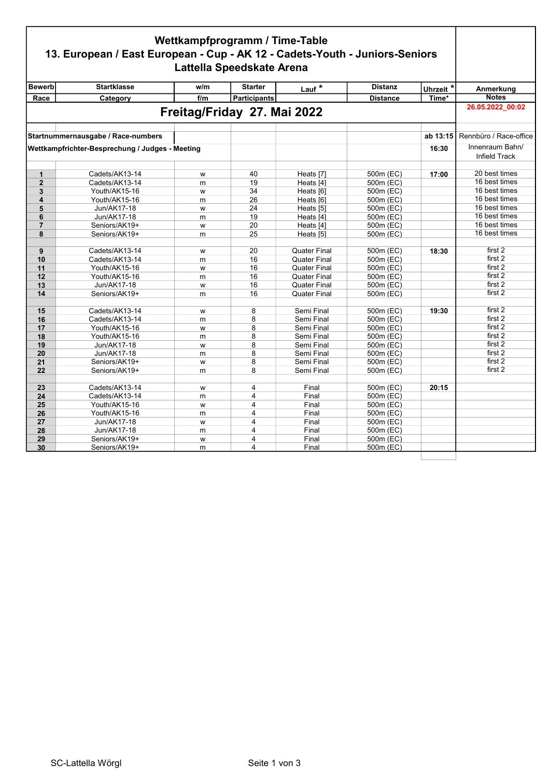## Wettkampfprogramm / Time-Table 13. European / East European - Cup - AK 12 - Cadets-Youth - Juniors-Seniors Lattella Speedskate Arena

| <b>Bewerb</b>  | <b>Startklasse</b>                              | w/m | <b>Starter</b>              | Lauf $*$                 | <b>Distanz</b>         | Uhrzeit <sup>*</sup> | Anmerkung              |
|----------------|-------------------------------------------------|-----|-----------------------------|--------------------------|------------------------|----------------------|------------------------|
| Race           | Category                                        | f/m | <b>Participants</b>         |                          | <b>Distance</b>        | Time*                | <b>Notes</b>           |
|                |                                                 |     |                             |                          |                        |                      | 26.05.2022 00:02       |
|                |                                                 |     | Freitag/Friday 27. Mai 2022 |                          |                        |                      |                        |
|                |                                                 |     |                             |                          |                        |                      |                        |
|                | Startnummernausgabe / Race-numbers              |     |                             |                          |                        | ab 13:15             | Rennbüro / Race-office |
|                | Wettkampfrichter-Besprechung / Judges - Meeting |     |                             |                          |                        | 16:30                | Innenraum Bahn/        |
|                |                                                 |     |                             |                          |                        |                      | Infield Track          |
|                |                                                 |     |                             |                          |                        |                      |                        |
| $\mathbf{1}$   | Cadets/AK13-14                                  | W   | 40                          | Heats [7]                | 500m (EC)              | 17:00                | 20 best times          |
| $\overline{2}$ | Cadets/AK13-14                                  | m   | 19                          | Heats [4]                | 500m (EC)              |                      | 16 best times          |
| 3              | Youth/AK15-16                                   | W   | 34                          | Heats [6]                | 500m (EC)              |                      | 16 best times          |
| 4              | Youth/AK15-16                                   | m   | 26                          | Heats [6]                | 500m (EC)              |                      | 16 best times          |
| 5              | Jun/AK17-18                                     | W   | 24                          | Heats [5]                | 500m (EC)              |                      | 16 best times          |
| 6              | Jun/AK17-18                                     | m   | 19                          | Heats [4]                | 500m (EC)              |                      | 16 best times          |
| $\overline{7}$ | Seniors/AK19+                                   | W   | 20                          | Heats [4]                | 500m (EC)              |                      | 16 best times          |
| 8              | Seniors/AK19+                                   | m   | 25                          | Heats [5]                | 500m (EC)              |                      | 16 best times          |
|                |                                                 |     |                             |                          |                        |                      |                        |
| 9              | Cadets/AK13-14                                  | W   | 20                          | <b>Quater Final</b>      | 500m (EC)              | 18:30                | first 2                |
| 10             | Cadets/AK13-14                                  | m   | 16                          | <b>Quater Final</b>      | 500m (EC)              |                      | first 2                |
| 11             | Youth/AK15-16                                   | W   | 16                          | <b>Quater Final</b>      | 500m (EC)              |                      | first 2                |
| 12             | Youth/AK15-16                                   | m   | 16                          | <b>Quater Final</b>      | 500m (EC)              |                      | first 2                |
| 13             | Jun/AK17-18                                     | W   | 16                          | <b>Quater Final</b>      | 500m (EC)              |                      | first 2                |
| 14             | Seniors/AK19+                                   | m   | 16                          | <b>Quater Final</b>      | 500m (EC)              |                      | first 2                |
|                |                                                 |     |                             |                          |                        |                      | first 2                |
| 15<br>16       | Cadets/AK13-14                                  | W   | 8<br>8                      | Semi Final<br>Semi Final | 500m (EC)              | 19:30                | first 2                |
|                | Cadets/AK13-14<br>Youth/AK15-16                 | m   | 8                           | Semi Final               | 500m (EC)<br>500m (EC) |                      | first 2                |
| 17             |                                                 | W   | 8                           |                          |                        |                      | first 2                |
| 18<br>19       | Youth/AK15-16<br>Jun/AK17-18                    | m   | 8                           | Semi Final<br>Semi Final | 500m (EC)<br>500m (EC) |                      | first 2                |
|                | Jun/AK17-18                                     | W   | 8                           | Semi Final               | 500m (EC)              |                      | first 2                |
| 20<br>21       |                                                 | m   | 8                           | Semi Final               | 500m (EC)              |                      | first 2                |
| 22             | Seniors/AK19+<br>Seniors/AK19+                  | W   | 8                           | Semi Final               | 500m (EC)              |                      | first 2                |
|                |                                                 | m   |                             |                          |                        |                      |                        |
| 23             | Cadets/AK13-14                                  | W   | 4                           | Final                    | 500m (EC)              | 20:15                |                        |
| 24             | Cadets/AK13-14                                  | m   | 4                           | Final                    | 500m (EC)              |                      |                        |
| 25             | Youth/AK15-16                                   | W   | 4                           | Final                    | 500m (EC)              |                      |                        |
| 26             | Youth/AK15-16                                   | m   | 4                           | Final                    | 500m (EC)              |                      |                        |
| 27             | Jun/AK17-18                                     | W   | 4                           | Final                    | 500m (EC)              |                      |                        |
| 28             | Jun/AK17-18                                     | m   | 4                           | Final                    | 500m (EC)              |                      |                        |
| 29             | Seniors/AK19+                                   | W   | 4                           | Final                    | 500m (EC)              |                      |                        |
| 30             | Seniors/AK19+                                   | m   | 4                           | Final                    | 500m (EC)              |                      |                        |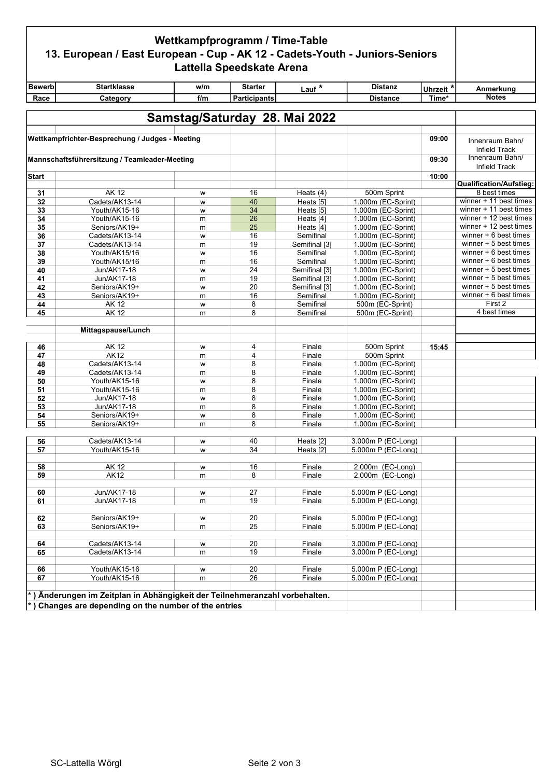| Wettkampfprogramm / Time-Table<br>13. European / East European - Cup - AK 12 - Cadets-Youth - Juniors-Seniors<br>Lattella Speedskate Arena |                                                                                                                                              |        |                     |                               |                                          |                      |                                        |
|--------------------------------------------------------------------------------------------------------------------------------------------|----------------------------------------------------------------------------------------------------------------------------------------------|--------|---------------------|-------------------------------|------------------------------------------|----------------------|----------------------------------------|
| <b>Bewerb</b>                                                                                                                              | <b>Startklasse</b>                                                                                                                           | w/m    | <b>Starter</b>      | Lauf <sup>*</sup>             | <b>Distanz</b>                           | Uhrzeit <sup>*</sup> | Anmerkung                              |
| Race                                                                                                                                       | Category                                                                                                                                     | f/m    | <b>Participants</b> |                               | <b>Distance</b>                          | Time*                | <b>Notes</b>                           |
|                                                                                                                                            |                                                                                                                                              |        |                     |                               |                                          |                      |                                        |
|                                                                                                                                            |                                                                                                                                              |        |                     | Samstag/Saturday 28. Mai 2022 |                                          |                      |                                        |
|                                                                                                                                            | Wettkampfrichter-Besprechung / Judges - Meeting                                                                                              |        |                     |                               |                                          | 09:00                | Innenraum Bahn/<br>Infield Track       |
| Mannschaftsführersitzung / Teamleader-Meeting                                                                                              |                                                                                                                                              |        |                     |                               |                                          | 09:30                | Innenraum Bahn/<br>Infield Track       |
| <b>Start</b>                                                                                                                               |                                                                                                                                              |        |                     |                               |                                          | 10:00                |                                        |
|                                                                                                                                            |                                                                                                                                              |        |                     |                               |                                          |                      | Qualification/Aufstieg:                |
| 31                                                                                                                                         | AK 12<br>Cadets/AK13-14                                                                                                                      | W      | 16<br>40            | Heats (4)                     | 500m Sprint                              |                      | 8 best times<br>winner + 11 best times |
| 32<br>33                                                                                                                                   |                                                                                                                                              | W      | 34                  | Heats [5]                     | 1.000m (EC-Sprint)<br>1.000m (EC-Sprint) |                      | winner + 11 best times                 |
| 34                                                                                                                                         | Youth/AK15-16<br>Youth/AK15-16                                                                                                               | W      | 26                  | Heats [5]<br>Heats [4]        | 1.000m (EC-Sprint)                       |                      | winner + 12 best times                 |
| 35                                                                                                                                         | Seniors/AK19+                                                                                                                                | m      | 25                  |                               | 1.000m (EC-Sprint)                       |                      | winner + 12 best times                 |
| 36                                                                                                                                         | Cadets/AK13-14                                                                                                                               | m      | 16                  | Heats [4]<br>Semifinal        | 1.000m (EC-Sprint)                       |                      | winner $+6$ best times                 |
| 37                                                                                                                                         | Cadets/AK13-14                                                                                                                               | W      | 19                  | Semifinal [3]                 | 1.000m (EC-Sprint)                       |                      | winner + 5 best times                  |
| 38                                                                                                                                         | Youth/AK15/16                                                                                                                                | m<br>W | 16                  | Semifinal                     | 1.000m (EC-Sprint)                       |                      | winner $+6$ best times                 |
| 39                                                                                                                                         | Youth/AK15/16                                                                                                                                |        | 16                  | Semifinal                     | 1.000m (EC-Sprint)                       |                      | winner $+6$ best times                 |
| 40                                                                                                                                         | Jun/AK17-18                                                                                                                                  | m<br>W | 24                  | Semifinal [3]                 | 1.000m (EC-Sprint)                       |                      | winner $+5$ best times                 |
| 41                                                                                                                                         | Jun/AK17-18                                                                                                                                  | m      | 19                  | Semifinal [3]                 | 1.000m (EC-Sprint)                       |                      | winner $+5$ best times                 |
| 42                                                                                                                                         | Seniors/AK19+                                                                                                                                | W      | 20                  | Semifinal [3]                 | 1.000m (EC-Sprint)                       |                      | winner $+5$ best times                 |
| 43                                                                                                                                         | Seniors/AK19+                                                                                                                                | m      | 16                  | Semifinal                     | 1.000m (EC-Sprint)                       |                      | winner + 6 best times                  |
| 44                                                                                                                                         | AK 12                                                                                                                                        | W      | 8                   | Semifinal                     | 500m (EC-Sprint)                         |                      | First 2                                |
| 45                                                                                                                                         | <b>AK12</b>                                                                                                                                  | m      | 8                   | Semifinal                     | 500m (EC-Sprint)                         |                      | 4 best times                           |
|                                                                                                                                            |                                                                                                                                              |        |                     |                               |                                          |                      |                                        |
|                                                                                                                                            | Mittagspause/Lunch                                                                                                                           |        |                     |                               |                                          |                      |                                        |
| 46                                                                                                                                         | AK 12                                                                                                                                        | w      | 4                   | Finale                        | 500m Sprint                              | 15:45                |                                        |
| 47                                                                                                                                         | <b>AK12</b>                                                                                                                                  | m      | 4                   | Finale                        | 500m Sprint                              |                      |                                        |
| 48                                                                                                                                         | Cadets/AK13-14                                                                                                                               | W      | 8                   | Finale                        | 1.000m (EC-Sprint)                       |                      |                                        |
| 49                                                                                                                                         | Cadets/AK13-14                                                                                                                               | m      | 8                   | Finale                        | 1.000m (EC-Sprint)                       |                      |                                        |
| 50                                                                                                                                         | Youth/AK15-16                                                                                                                                | W      | 8                   | Finale                        | 1.000m (EC-Sprint)                       |                      |                                        |
| 51                                                                                                                                         | Youth/AK15-16                                                                                                                                | m      | 8                   | Finale                        | 1.000m (EC-Sprint)                       |                      |                                        |
| 52                                                                                                                                         | Jun/AK17-18                                                                                                                                  | W      | 8                   | Finale                        | 1.000m (EC-Sprint)                       |                      |                                        |
| 53                                                                                                                                         | Jun/AK17-18                                                                                                                                  | m      | 8                   | Finale                        | 1.000m (EC-Sprint)                       |                      |                                        |
| 54                                                                                                                                         | Seniors/AK19+                                                                                                                                | W      | 8                   | Finale                        | 1.000m (EC-Sprint)                       |                      |                                        |
| 55                                                                                                                                         | Seniors/AK19+                                                                                                                                | m      | 8                   | Finale                        | 1.000m (EC-Sprint)                       |                      |                                        |
|                                                                                                                                            |                                                                                                                                              |        |                     |                               |                                          |                      |                                        |
| 56<br>57                                                                                                                                   | Cadets/AK13-14<br>Youth/AK15-16                                                                                                              | w      | 40<br>34            | Heats [2]                     | 3.000m P (EC-Long)<br>5.000m P (EC-Long) |                      |                                        |
|                                                                                                                                            |                                                                                                                                              | w      |                     | Heats [2]                     |                                          |                      |                                        |
| 58                                                                                                                                         | <b>AK12</b>                                                                                                                                  | W      | 16                  | Finale                        | 2.000m (EC-Long)                         |                      |                                        |
| 59                                                                                                                                         | <b>AK12</b>                                                                                                                                  | m      | 8                   | Finale                        | 2.000m (EC-Long)                         |                      |                                        |
|                                                                                                                                            |                                                                                                                                              |        |                     |                               |                                          |                      |                                        |
| 60                                                                                                                                         | Jun/AK17-18                                                                                                                                  | W      | 27                  | Finale                        | 5.000m P (EC-Long)                       |                      |                                        |
| 61                                                                                                                                         | Jun/AK17-18                                                                                                                                  | m      | 19                  | Finale                        | 5.000m P (EC-Long)                       |                      |                                        |
|                                                                                                                                            |                                                                                                                                              |        |                     |                               |                                          |                      |                                        |
| 62                                                                                                                                         | Seniors/AK19+                                                                                                                                | W      | 20                  | Finale                        | 5.000m P (EC-Long)                       |                      |                                        |
| 63                                                                                                                                         | Seniors/AK19+                                                                                                                                | m      | 25                  | Finale                        | 5.000m P (EC-Long)                       |                      |                                        |
|                                                                                                                                            |                                                                                                                                              |        |                     |                               |                                          |                      |                                        |
| 64                                                                                                                                         | Cadets/AK13-14                                                                                                                               | W      | 20                  | Finale                        | 3.000m P (EC-Long)                       |                      |                                        |
| 65                                                                                                                                         | Cadets/AK13-14                                                                                                                               | m      | 19                  | Finale                        | 3.000m P (EC-Long)                       |                      |                                        |
|                                                                                                                                            |                                                                                                                                              |        |                     |                               |                                          |                      |                                        |
| 66                                                                                                                                         | Youth/AK15-16                                                                                                                                | W      | 20                  | Finale                        | 5.000m P (EC-Long)                       |                      |                                        |
| 67                                                                                                                                         | Youth/AK15-16                                                                                                                                | m      | 26                  | Finale                        | 5.000m P (EC-Long)                       |                      |                                        |
|                                                                                                                                            | *) Änderungen im Zeitplan in Abhängigkeit der Teilnehmeranzahl vorbehalten.<br>$\vert$ *) Changes are depending on the number of the entries |        |                     |                               |                                          |                      |                                        |